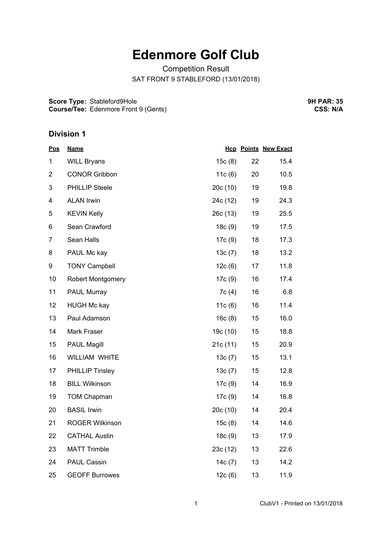## **Edenmore Golf Club**

Competition Result SAT FRONT 9 STABLEFORD (13/01/2018)

**Score Type:** Stableford9Hole **Course/Tee:** Edenmore Front 9 (Gents) **9H PAR: 35 CSS: N/A**

## **Division 1**

| <u>Pos</u>     | <b>Name</b>              |           |    | <b>Hcp Points New Exact</b> |  |
|----------------|--------------------------|-----------|----|-----------------------------|--|
| 1              | <b>WILL Bryans</b>       | 15c(8)    | 22 | 15.4                        |  |
| $\overline{2}$ | <b>CONOR Gribbon</b>     | 11c(6)    | 20 | 10.5                        |  |
| 3              | <b>PHILLIP Steele</b>    | 20c(10)   | 19 | 19.8                        |  |
| 4              | <b>ALAN Irwin</b>        | 24c (12)  | 19 | 24.3                        |  |
| 5              | <b>KEVIN Kelly</b>       | 26c(13)   | 19 | 25.5                        |  |
| 6              | Sean Crawford            | 18c(9)    | 19 | 17.5                        |  |
| 7              | Sean Halls               | 17c(9)    | 18 | 17.3                        |  |
| 8              | PAUL Mc kay              | 13c(7)    | 18 | 13.2                        |  |
| 9              | <b>TONY Campbell</b>     | 12c(6)    | 17 | 11.8                        |  |
| 10             | <b>Robert Montgomery</b> | 17c(9)    | 16 | 17.4                        |  |
| 11             | <b>PAUL Murray</b>       | 7c(4)     | 16 | 6.8                         |  |
| 12             | <b>HUGH Mc kay</b>       | 11c(6)    | 16 | 11.4                        |  |
| 13             | Paul Adamson             | 16c(8)    | 15 | 16.0                        |  |
| 14             | Mark Fraser              | 19c (10)  | 15 | 18.8                        |  |
| 15             | <b>PAUL Magill</b>       | 21c(11)   | 15 | 20.9                        |  |
| 16             | WILLIAM WHITE            | 13c(7)    | 15 | 13.1                        |  |
| 17             | <b>PHILLIP Tinsley</b>   | 13c(7)    | 15 | 12.8                        |  |
| 18             | <b>BILL Wilkinson</b>    | 17c(9)    | 14 | 16.9                        |  |
| 19             | <b>TOM Chapman</b>       | 17c(9)    | 14 | 16.8                        |  |
| 20             | <b>BASIL Irwin</b>       | 20c (10)  | 14 | 20.4                        |  |
| 21             | <b>ROGER Wilkinson</b>   | 15c(8)    | 14 | 14.6                        |  |
| 22             | <b>CATHAL Austin</b>     | 18c(9)    | 13 | 17.9                        |  |
| 23             | <b>MATT Trimble</b>      | 23c(12)   | 13 | 22.6                        |  |
| 24             | <b>PAUL Cassin</b>       | 14 $c(7)$ | 13 | 14.2                        |  |
| 25             | <b>GEOFF Burrowes</b>    | 12c(6)    | 13 | 11.9                        |  |